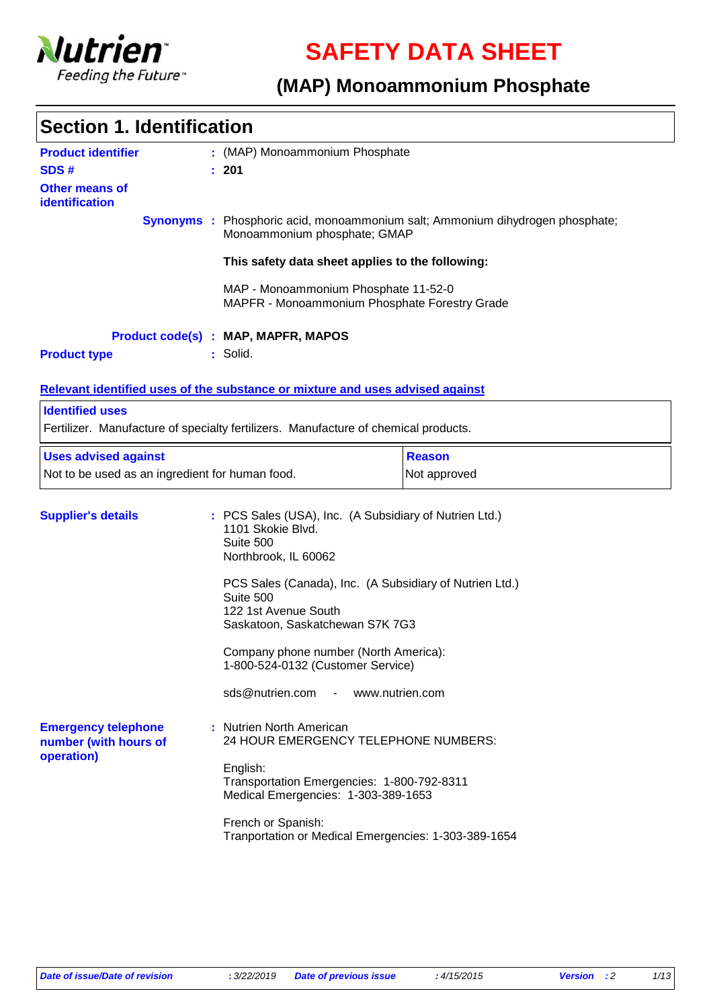

**SAFETY DATA SHEET**

# **(MAP) Monoammonium Phosphate**

| <b>Product identifier</b>                                         | : (MAP) Monoammonium Phosphate                                                                                                                                                                                                                                                                                                    |                                                                                      |  |
|-------------------------------------------------------------------|-----------------------------------------------------------------------------------------------------------------------------------------------------------------------------------------------------------------------------------------------------------------------------------------------------------------------------------|--------------------------------------------------------------------------------------|--|
| SDS#                                                              | : 201                                                                                                                                                                                                                                                                                                                             |                                                                                      |  |
| <b>Other means of</b>                                             |                                                                                                                                                                                                                                                                                                                                   |                                                                                      |  |
| identification                                                    |                                                                                                                                                                                                                                                                                                                                   |                                                                                      |  |
|                                                                   | Monoammonium phosphate; GMAP                                                                                                                                                                                                                                                                                                      | <b>Synonyms</b> : Phosphoric acid, monoammonium salt; Ammonium dihydrogen phosphate; |  |
|                                                                   | This safety data sheet applies to the following:                                                                                                                                                                                                                                                                                  |                                                                                      |  |
|                                                                   | MAP - Monoammonium Phosphate 11-52-0<br>MAPFR - Monoammonium Phosphate Forestry Grade                                                                                                                                                                                                                                             |                                                                                      |  |
|                                                                   | <b>Product code(s) : MAP, MAPFR, MAPOS</b>                                                                                                                                                                                                                                                                                        |                                                                                      |  |
| <b>Product type</b>                                               | : Solid.                                                                                                                                                                                                                                                                                                                          |                                                                                      |  |
|                                                                   |                                                                                                                                                                                                                                                                                                                                   |                                                                                      |  |
|                                                                   | Relevant identified uses of the substance or mixture and uses advised against                                                                                                                                                                                                                                                     |                                                                                      |  |
| <b>Identified uses</b>                                            |                                                                                                                                                                                                                                                                                                                                   |                                                                                      |  |
|                                                                   | Fertilizer. Manufacture of specialty fertilizers. Manufacture of chemical products.                                                                                                                                                                                                                                               |                                                                                      |  |
| <b>Uses advised against</b>                                       | <b>Reason</b>                                                                                                                                                                                                                                                                                                                     |                                                                                      |  |
| Not to be used as an ingredient for human food.                   |                                                                                                                                                                                                                                                                                                                                   | Not approved                                                                         |  |
| <b>Supplier's details</b>                                         | : PCS Sales (USA), Inc. (A Subsidiary of Nutrien Ltd.)<br>1101 Skokie Blvd.<br>Suite 500<br>Northbrook, IL 60062<br>PCS Sales (Canada), Inc. (A Subsidiary of Nutrien Ltd.)<br>Suite 500<br>122 1st Avenue South<br>Saskatoon, Saskatchewan S7K 7G3<br>Company phone number (North America):<br>1-800-524-0132 (Customer Service) |                                                                                      |  |
|                                                                   | sds@nutrien.com                                                                                                                                                                                                                                                                                                                   | www.nutrien.com                                                                      |  |
| <b>Emergency telephone</b><br>number (with hours of<br>operation) | : Nutrien North American<br>24 HOUR EMERGENCY TELEPHONE NUMBERS:<br>English:                                                                                                                                                                                                                                                      | Transportation Emergencies: 1-800-792-8311                                           |  |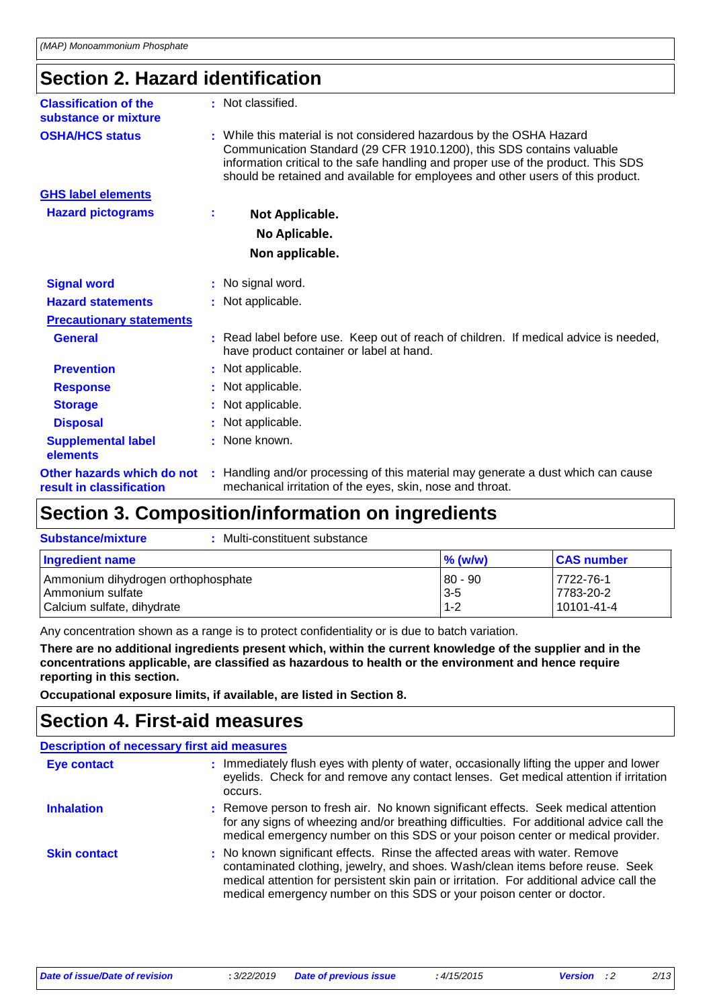# **Section 2. Hazard identification**

| <b>Classification of the</b><br>substance or mixture   |    | : Not classified.                                                                                                                                                                                                                                                                                                     |
|--------------------------------------------------------|----|-----------------------------------------------------------------------------------------------------------------------------------------------------------------------------------------------------------------------------------------------------------------------------------------------------------------------|
| <b>OSHA/HCS status</b>                                 |    | : While this material is not considered hazardous by the OSHA Hazard<br>Communication Standard (29 CFR 1910.1200), this SDS contains valuable<br>information critical to the safe handling and proper use of the product. This SDS<br>should be retained and available for employees and other users of this product. |
| <b>GHS label elements</b>                              |    |                                                                                                                                                                                                                                                                                                                       |
| <b>Hazard pictograms</b>                               | ÷. | Not Applicable.                                                                                                                                                                                                                                                                                                       |
|                                                        |    | No Aplicable.                                                                                                                                                                                                                                                                                                         |
|                                                        |    | Non applicable.                                                                                                                                                                                                                                                                                                       |
| <b>Signal word</b>                                     |    | : No signal word.                                                                                                                                                                                                                                                                                                     |
| <b>Hazard statements</b>                               |    | : Not applicable.                                                                                                                                                                                                                                                                                                     |
| <b>Precautionary statements</b>                        |    |                                                                                                                                                                                                                                                                                                                       |
| <b>General</b>                                         |    | : Read label before use. Keep out of reach of children. If medical advice is needed,<br>have product container or label at hand.                                                                                                                                                                                      |
| <b>Prevention</b>                                      |    | : Not applicable.                                                                                                                                                                                                                                                                                                     |
| <b>Response</b>                                        |    | : Not applicable.                                                                                                                                                                                                                                                                                                     |
| <b>Storage</b>                                         |    | : Not applicable.                                                                                                                                                                                                                                                                                                     |
| <b>Disposal</b>                                        |    | : Not applicable.                                                                                                                                                                                                                                                                                                     |
| <b>Supplemental label</b><br>elements                  |    | : None known.                                                                                                                                                                                                                                                                                                         |
| Other hazards which do not<br>result in classification |    | : Handling and/or processing of this material may generate a dust which can cause<br>mechanical irritation of the eyes, skin, nose and throat.                                                                                                                                                                        |

# **Section 3. Composition/information on ingredients**

| Multi-constituent substance<br><b>Substance/mixture</b>                              |                               |                                      |
|--------------------------------------------------------------------------------------|-------------------------------|--------------------------------------|
| Ingredient name                                                                      | $\%$ (w/w)                    | <b>CAS number</b>                    |
| Ammonium dihydrogen orthophosphate<br>Ammonium sulfate<br>Calcium sulfate, dihydrate | 80 - 90<br>$3 - 5$<br>$1 - 2$ | 7722-76-1<br>7783-20-2<br>10101-41-4 |

Any concentration shown as a range is to protect confidentiality or is due to batch variation.

**There are no additional ingredients present which, within the current knowledge of the supplier and in the concentrations applicable, are classified as hazardous to health or the environment and hence require reporting in this section.**

**Occupational exposure limits, if available, are listed in Section 8.**

### **Section 4. First-aid measures**

|                     | <b>Description of necessary first aid measures</b>                                                                                                                                                                                                                                                                                 |
|---------------------|------------------------------------------------------------------------------------------------------------------------------------------------------------------------------------------------------------------------------------------------------------------------------------------------------------------------------------|
| <b>Eye contact</b>  | : Immediately flush eyes with plenty of water, occasionally lifting the upper and lower<br>eyelids. Check for and remove any contact lenses. Get medical attention if irritation<br>occurs.                                                                                                                                        |
| <b>Inhalation</b>   | : Remove person to fresh air. No known significant effects. Seek medical attention<br>for any signs of wheezing and/or breathing difficulties. For additional advice call the<br>medical emergency number on this SDS or your poison center or medical provider.                                                                   |
| <b>Skin contact</b> | : No known significant effects. Rinse the affected areas with water. Remove<br>contaminated clothing, jewelry, and shoes. Wash/clean items before reuse. Seek<br>medical attention for persistent skin pain or irritation. For additional advice call the<br>medical emergency number on this SDS or your poison center or doctor. |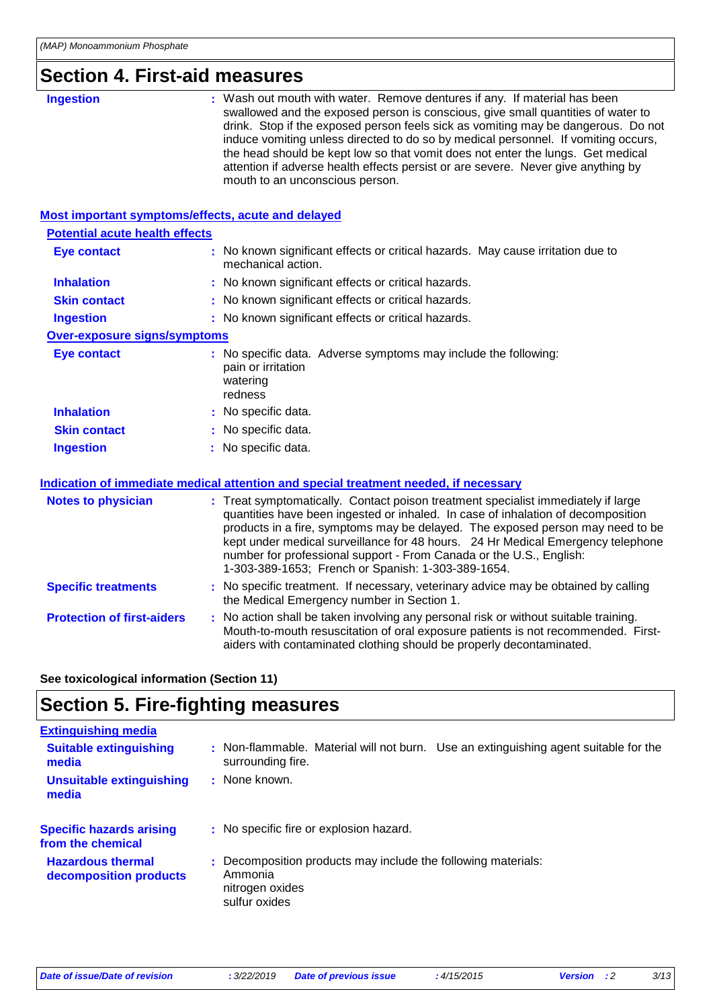### **Section 4. First-aid measures**

| CUNUN T. I II JI UN IIIUUJUI UJ                    |                                                                                                                                                                                                                                                                                                                                                                                                                                                                                                                                                     |  |  |  |
|----------------------------------------------------|-----------------------------------------------------------------------------------------------------------------------------------------------------------------------------------------------------------------------------------------------------------------------------------------------------------------------------------------------------------------------------------------------------------------------------------------------------------------------------------------------------------------------------------------------------|--|--|--|
| <b>Ingestion</b>                                   | : Wash out mouth with water. Remove dentures if any. If material has been<br>swallowed and the exposed person is conscious, give small quantities of water to<br>drink. Stop if the exposed person feels sick as vomiting may be dangerous. Do not<br>induce vomiting unless directed to do so by medical personnel. If vomiting occurs,<br>the head should be kept low so that vomit does not enter the lungs. Get medical<br>attention if adverse health effects persist or are severe. Never give anything by<br>mouth to an unconscious person. |  |  |  |
| Most important symptoms/effects, acute and delayed |                                                                                                                                                                                                                                                                                                                                                                                                                                                                                                                                                     |  |  |  |
| <b>Potential acute health effects</b>              |                                                                                                                                                                                                                                                                                                                                                                                                                                                                                                                                                     |  |  |  |
| <b>Eye contact</b>                                 | : No known significant effects or critical hazards. May cause irritation due to<br>mechanical action.                                                                                                                                                                                                                                                                                                                                                                                                                                               |  |  |  |
| <b>Inhalation</b>                                  | : No known significant effects or critical hazards.                                                                                                                                                                                                                                                                                                                                                                                                                                                                                                 |  |  |  |
| <b>Skin contact</b>                                | : No known significant effects or critical hazards.                                                                                                                                                                                                                                                                                                                                                                                                                                                                                                 |  |  |  |
| <b>Ingestion</b>                                   | : No known significant effects or critical hazards.                                                                                                                                                                                                                                                                                                                                                                                                                                                                                                 |  |  |  |
| <b>Over-exposure signs/symptoms</b>                |                                                                                                                                                                                                                                                                                                                                                                                                                                                                                                                                                     |  |  |  |
| <b>Eye contact</b>                                 | : No specific data. Adverse symptoms may include the following:<br>pain or irritation<br>watering<br>redness                                                                                                                                                                                                                                                                                                                                                                                                                                        |  |  |  |
| <b>Inhalation</b>                                  | : No specific data.                                                                                                                                                                                                                                                                                                                                                                                                                                                                                                                                 |  |  |  |
| <b>Skin contact</b>                                | No specific data.                                                                                                                                                                                                                                                                                                                                                                                                                                                                                                                                   |  |  |  |
| <b>Ingestion</b>                                   | : No specific data.                                                                                                                                                                                                                                                                                                                                                                                                                                                                                                                                 |  |  |  |
|                                                    | Indication of immediate medical attention and special treatment needed, if necessary                                                                                                                                                                                                                                                                                                                                                                                                                                                                |  |  |  |
| <b>Notes to physician</b>                          | : Treat symptomatically. Contact poison treatment specialist immediately if large<br>quantities have been ingested or inhaled. In case of inhalation of decomposition<br>products in a fire, symptoms may be delayed. The exposed person may need to be<br>kept under medical surveillance for 48 hours. 24 Hr Medical Emergency telephone<br>number for professional support - From Canada or the U.S., English:<br>1-303-389-1653; French or Spanish: 1-303-389-1654.                                                                             |  |  |  |
| <b>Specific treatments</b>                         | : No specific treatment. If necessary, veterinary advice may be obtained by calling<br>the Medical Emergency number in Section 1.                                                                                                                                                                                                                                                                                                                                                                                                                   |  |  |  |
| <b>Protection of first-aiders</b>                  | : No action shall be taken involving any personal risk or without suitable training.<br>Mouth-to-mouth resuscitation of oral exposure patients is not recommended. First-<br>aiders with contaminated clothing should be properly decontaminated.                                                                                                                                                                                                                                                                                                   |  |  |  |

### **See toxicological information (Section 11)**

# **Section 5. Fire-fighting measures**

| <b>Extinguishing media</b>                           |                                                                                                              |
|------------------------------------------------------|--------------------------------------------------------------------------------------------------------------|
| <b>Suitable extinguishing</b><br>media               | : Non-flammable. Material will not burn. Use an extinguishing agent suitable for the<br>surrounding fire.    |
| <b>Unsuitable extinguishing</b><br>media             | : None known.                                                                                                |
| <b>Specific hazards arising</b><br>from the chemical | : No specific fire or explosion hazard.                                                                      |
| <b>Hazardous thermal</b><br>decomposition products   | : Decomposition products may include the following materials:<br>Ammonia<br>nitrogen oxides<br>sulfur oxides |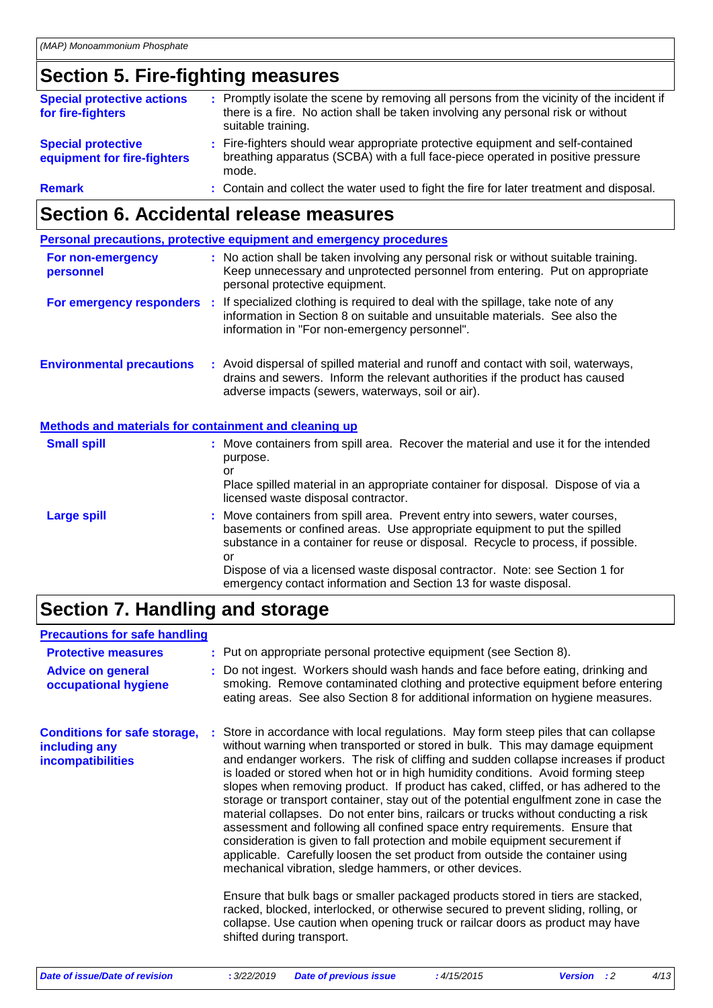# **Section 5. Fire-fighting measures**

| <b>Special protective actions</b><br>for fire-fighters   | : Promptly isolate the scene by removing all persons from the vicinity of the incident if<br>there is a fire. No action shall be taken involving any personal risk or without<br>suitable training. |
|----------------------------------------------------------|-----------------------------------------------------------------------------------------------------------------------------------------------------------------------------------------------------|
| <b>Special protective</b><br>equipment for fire-fighters | : Fire-fighters should wear appropriate protective equipment and self-contained<br>breathing apparatus (SCBA) with a full face-piece operated in positive pressure<br>mode.                         |
| <b>Remark</b>                                            | : Contain and collect the water used to fight the fire for later treatment and disposal.                                                                                                            |

# **Section 6. Accidental release measures**

|                                  |    | Personal precautions, protective equipment and emergency procedures                                                                                                                                                     |
|----------------------------------|----|-------------------------------------------------------------------------------------------------------------------------------------------------------------------------------------------------------------------------|
| For non-emergency<br>personnel   |    | : No action shall be taken involving any personal risk or without suitable training.<br>Keep unnecessary and unprotected personnel from entering. Put on appropriate<br>personal protective equipment.                  |
| For emergency responders         | t. | If specialized clothing is required to deal with the spillage, take note of any<br>information in Section 8 on suitable and unsuitable materials. See also the<br>information in "For non-emergency personnel".         |
| <b>Environmental precautions</b> |    | : Avoid dispersal of spilled material and runoff and contact with soil, waterways,<br>drains and sewers. Inform the relevant authorities if the product has caused<br>adverse impacts (sewers, waterways, soil or air). |

### **Methods and materials for containment and cleaning up**

| <b>Small spill</b> | : Move containers from spill area. Recover the material and use it for the intended<br>purpose.<br>or<br>Place spilled material in an appropriate container for disposal. Dispose of via a<br>licensed waste disposal contractor.                                                                                                                                                                       |
|--------------------|---------------------------------------------------------------------------------------------------------------------------------------------------------------------------------------------------------------------------------------------------------------------------------------------------------------------------------------------------------------------------------------------------------|
| <b>Large spill</b> | : Move containers from spill area. Prevent entry into sewers, water courses,<br>basements or confined areas. Use appropriate equipment to put the spilled<br>substance in a container for reuse or disposal. Recycle to process, if possible.<br>or<br>Dispose of via a licensed waste disposal contractor. Note: see Section 1 for<br>emergency contact information and Section 13 for waste disposal. |

# **Section 7. Handling and storage**

### **Precautions for safe handling**

| <b>Protective measures</b><br><b>Advice on general</b><br>occupational hygiene   | : Put on appropriate personal protective equipment (see Section 8).<br>: Do not ingest. Workers should wash hands and face before eating, drinking and<br>smoking. Remove contaminated clothing and protective equipment before entering<br>eating areas. See also Section 8 for additional information on hygiene measures.                                                                                                                                                                                                                                                                                                                                                                                                                                                                                                                                                                                                                                                                                                                                                                                                                                                                                             |
|----------------------------------------------------------------------------------|--------------------------------------------------------------------------------------------------------------------------------------------------------------------------------------------------------------------------------------------------------------------------------------------------------------------------------------------------------------------------------------------------------------------------------------------------------------------------------------------------------------------------------------------------------------------------------------------------------------------------------------------------------------------------------------------------------------------------------------------------------------------------------------------------------------------------------------------------------------------------------------------------------------------------------------------------------------------------------------------------------------------------------------------------------------------------------------------------------------------------------------------------------------------------------------------------------------------------|
| <b>Conditions for safe storage,</b><br>including any<br><b>incompatibilities</b> | : Store in accordance with local regulations. May form steep piles that can collapse<br>without warning when transported or stored in bulk. This may damage equipment<br>and endanger workers. The risk of cliffing and sudden collapse increases if product<br>is loaded or stored when hot or in high humidity conditions. Avoid forming steep<br>slopes when removing product. If product has caked, cliffed, or has adhered to the<br>storage or transport container, stay out of the potential engulfment zone in case the<br>material collapses. Do not enter bins, railcars or trucks without conducting a risk<br>assessment and following all confined space entry requirements. Ensure that<br>consideration is given to fall protection and mobile equipment securement if<br>applicable. Carefully loosen the set product from outside the container using<br>mechanical vibration, sledge hammers, or other devices.<br>Ensure that bulk bags or smaller packaged products stored in tiers are stacked,<br>racked, blocked, interlocked, or otherwise secured to prevent sliding, rolling, or<br>collapse. Use caution when opening truck or railcar doors as product may have<br>shifted during transport. |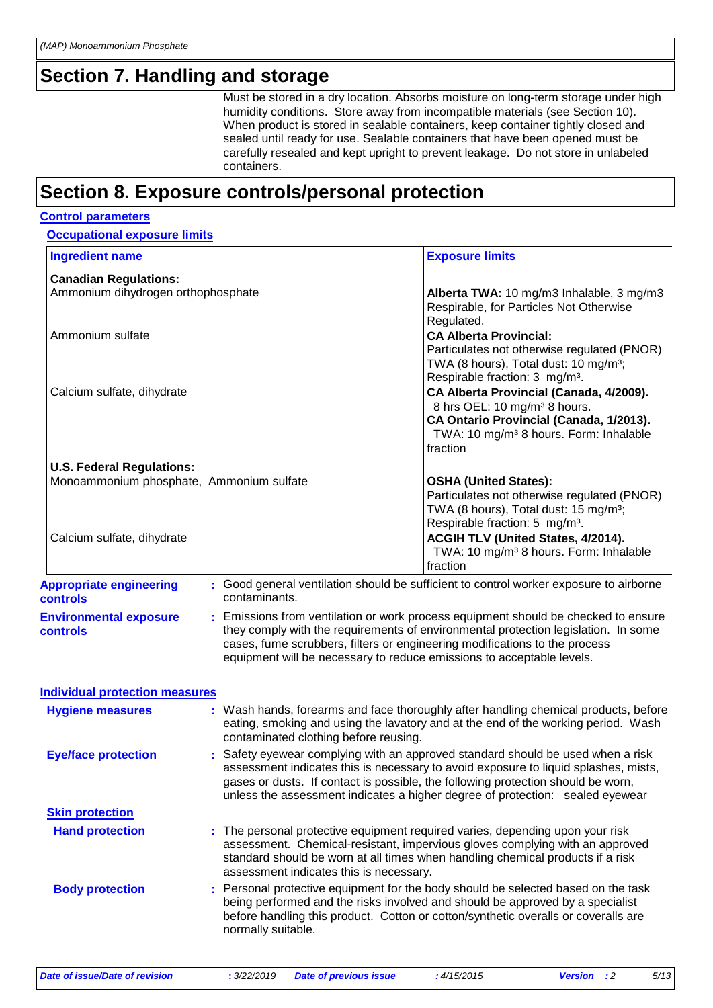### **Section 7. Handling and storage**

Must be stored in a dry location. Absorbs moisture on long-term storage under high humidity conditions. Store away from incompatible materials (see Section 10). When product is stored in sealable containers, keep container tightly closed and sealed until ready for use. Sealable containers that have been opened must be carefully resealed and kept upright to prevent leakage. Do not store in unlabeled containers.

### **Section 8. Exposure controls/personal protection**

#### **Control parameters**

#### **Occupational exposure limits**

| <b>Ingredient name</b>                            |                                         | <b>Exposure limits</b>                                                                                                                                                                                                                                                                                                                    |
|---------------------------------------------------|-----------------------------------------|-------------------------------------------------------------------------------------------------------------------------------------------------------------------------------------------------------------------------------------------------------------------------------------------------------------------------------------------|
| <b>Canadian Regulations:</b>                      |                                         |                                                                                                                                                                                                                                                                                                                                           |
| Ammonium dihydrogen orthophosphate                |                                         | Alberta TWA: 10 mg/m3 Inhalable, 3 mg/m3<br>Respirable, for Particles Not Otherwise<br>Regulated.                                                                                                                                                                                                                                         |
| Ammonium sulfate                                  |                                         | <b>CA Alberta Provincial:</b><br>Particulates not otherwise regulated (PNOR)<br>TWA (8 hours), Total dust: 10 mg/m <sup>3</sup> ;                                                                                                                                                                                                         |
| Calcium sulfate, dihydrate                        |                                         | Respirable fraction: 3 mg/m <sup>3</sup> .<br>CA Alberta Provincial (Canada, 4/2009).<br>8 hrs OEL: 10 mg/m <sup>3</sup> 8 hours.<br>CA Ontario Provincial (Canada, 1/2013).<br>TWA: 10 mg/m <sup>3</sup> 8 hours. Form: Inhalable<br>fraction                                                                                            |
| <b>U.S. Federal Regulations:</b>                  |                                         |                                                                                                                                                                                                                                                                                                                                           |
| Monoammonium phosphate, Ammonium sulfate          |                                         | <b>OSHA (United States):</b><br>Particulates not otherwise regulated (PNOR)<br>TWA (8 hours), Total dust: 15 mg/m <sup>3</sup> ;<br>Respirable fraction: 5 mg/m <sup>3</sup> .                                                                                                                                                            |
| Calcium sulfate, dihydrate                        |                                         | ACGIH TLV (United States, 4/2014).<br>TWA: 10 mg/m <sup>3</sup> 8 hours. Form: Inhalable<br>fraction                                                                                                                                                                                                                                      |
| <b>Appropriate engineering</b><br><b>controls</b> | contaminants.                           | : Good general ventilation should be sufficient to control worker exposure to airborne                                                                                                                                                                                                                                                    |
| <b>Environmental exposure</b><br><b>controls</b>  |                                         | Emissions from ventilation or work process equipment should be checked to ensure<br>they comply with the requirements of environmental protection legislation. In some<br>cases, fume scrubbers, filters or engineering modifications to the process<br>equipment will be necessary to reduce emissions to acceptable levels.             |
| <b>Individual protection measures</b>             |                                         |                                                                                                                                                                                                                                                                                                                                           |
| <b>Hygiene measures</b>                           | contaminated clothing before reusing.   | Wash hands, forearms and face thoroughly after handling chemical products, before<br>eating, smoking and using the lavatory and at the end of the working period. Wash                                                                                                                                                                    |
| <b>Eye/face protection</b>                        |                                         | Safety eyewear complying with an approved standard should be used when a risk<br>assessment indicates this is necessary to avoid exposure to liquid splashes, mists,<br>gases or dusts. If contact is possible, the following protection should be worn,<br>unless the assessment indicates a higher degree of protection: sealed eyewear |
| <b>Skin protection</b>                            |                                         |                                                                                                                                                                                                                                                                                                                                           |
| <b>Hand protection</b>                            | assessment indicates this is necessary. | : The personal protective equipment required varies, depending upon your risk<br>assessment. Chemical-resistant, impervious gloves complying with an approved<br>standard should be worn at all times when handling chemical products if a risk                                                                                           |
| <b>Body protection</b>                            | normally suitable.                      | : Personal protective equipment for the body should be selected based on the task<br>being performed and the risks involved and should be approved by a specialist<br>before handling this product. Cotton or cotton/synthetic overalls or coveralls are                                                                                  |
|                                                   |                                         |                                                                                                                                                                                                                                                                                                                                           |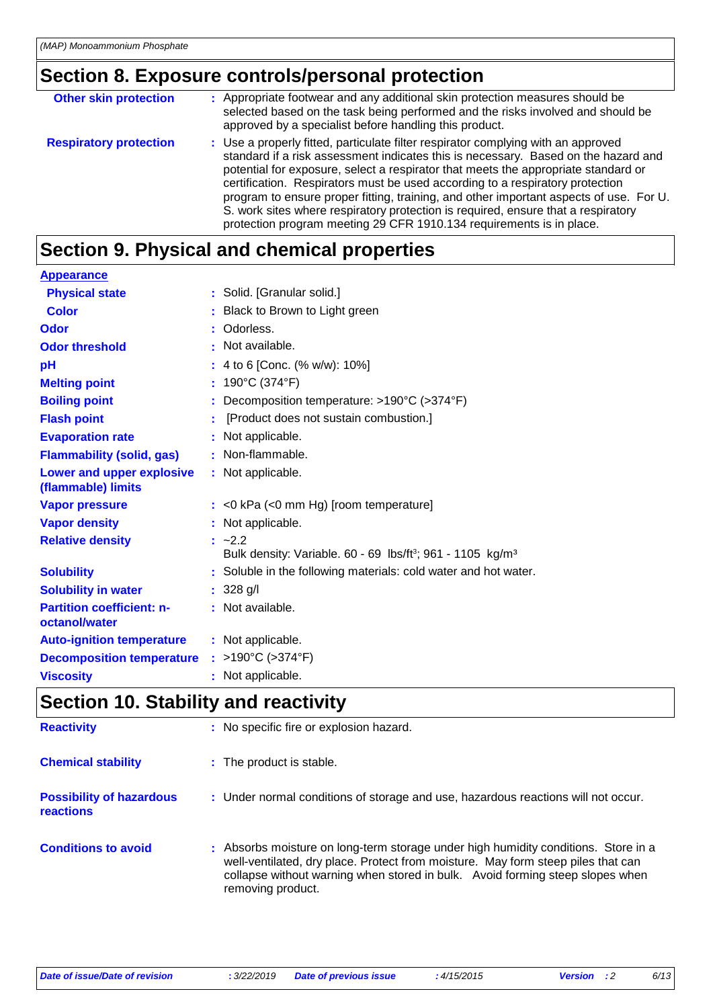# **Section 8. Exposure controls/personal protection**

| <b>Other skin protection</b>  | : Appropriate footwear and any additional skin protection measures should be<br>selected based on the task being performed and the risks involved and should be<br>approved by a specialist before handling this product.                                                                                                                                                                                                                                                                                                                                                                             |
|-------------------------------|-------------------------------------------------------------------------------------------------------------------------------------------------------------------------------------------------------------------------------------------------------------------------------------------------------------------------------------------------------------------------------------------------------------------------------------------------------------------------------------------------------------------------------------------------------------------------------------------------------|
| <b>Respiratory protection</b> | : Use a properly fitted, particulate filter respirator complying with an approved<br>standard if a risk assessment indicates this is necessary. Based on the hazard and<br>potential for exposure, select a respirator that meets the appropriate standard or<br>certification. Respirators must be used according to a respiratory protection<br>program to ensure proper fitting, training, and other important aspects of use. For U.<br>S. work sites where respiratory protection is required, ensure that a respiratory<br>protection program meeting 29 CFR 1910.134 requirements is in place. |

# **Section 9. Physical and chemical properties**

| <b>Appearance</b>                                 |    |                                                                                                          |
|---------------------------------------------------|----|----------------------------------------------------------------------------------------------------------|
| <b>Physical state</b>                             |    | : Solid. [Granular solid.]                                                                               |
| <b>Color</b>                                      |    | Black to Brown to Light green                                                                            |
| Odor                                              |    | : Odorless.                                                                                              |
| <b>Odor threshold</b>                             |    | $\cdot$ Not available.                                                                                   |
| pH                                                |    | : 4 to 6 [Conc. $% w/w$ ]: 10%]                                                                          |
| <b>Melting point</b>                              | t. | 190°C (374°F)                                                                                            |
| <b>Boiling point</b>                              |    | Decomposition temperature: >190°C (>374°F)                                                               |
| <b>Flash point</b>                                |    | [Product does not sustain combustion.]                                                                   |
| <b>Evaporation rate</b>                           |    | : Not applicable.                                                                                        |
| <b>Flammability (solid, gas)</b>                  |    | : Non-flammable.                                                                                         |
| Lower and upper explosive<br>(flammable) limits   |    | : Not applicable.                                                                                        |
| <b>Vapor pressure</b>                             |    | $:$ <0 kPa (<0 mm Hg) [room temperature]                                                                 |
| <b>Vapor density</b>                              |    | : Not applicable.                                                                                        |
| <b>Relative density</b>                           |    | $\frac{1}{2}$ ~2.2<br>Bulk density: Variable. 60 - 69 lbs/ft <sup>3</sup> ; 961 - 1105 kg/m <sup>3</sup> |
| <b>Solubility</b>                                 |    | : Soluble in the following materials: cold water and hot water.                                          |
| <b>Solubility in water</b>                        |    | $: 328$ g/l                                                                                              |
| <b>Partition coefficient: n-</b><br>octanol/water |    | : Not available.                                                                                         |
| <b>Auto-ignition temperature</b>                  |    | : Not applicable.                                                                                        |
| <b>Decomposition temperature</b>                  |    | : >190°C (>374°F)                                                                                        |
| <b>Viscosity</b>                                  |    | : Not applicable.                                                                                        |

# **Section 10. Stability and reactivity**

| <b>Reactivity</b>                            | : No specific fire or explosion hazard.                                                                                                                                                                                                                                      |
|----------------------------------------------|------------------------------------------------------------------------------------------------------------------------------------------------------------------------------------------------------------------------------------------------------------------------------|
| <b>Chemical stability</b>                    | : The product is stable.                                                                                                                                                                                                                                                     |
| <b>Possibility of hazardous</b><br>reactions | : Under normal conditions of storage and use, hazardous reactions will not occur.                                                                                                                                                                                            |
| <b>Conditions to avoid</b>                   | : Absorbs moisture on long-term storage under high humidity conditions. Store in a<br>well-ventilated, dry place. Protect from moisture. May form steep piles that can<br>collapse without warning when stored in bulk. Avoid forming steep slopes when<br>removing product. |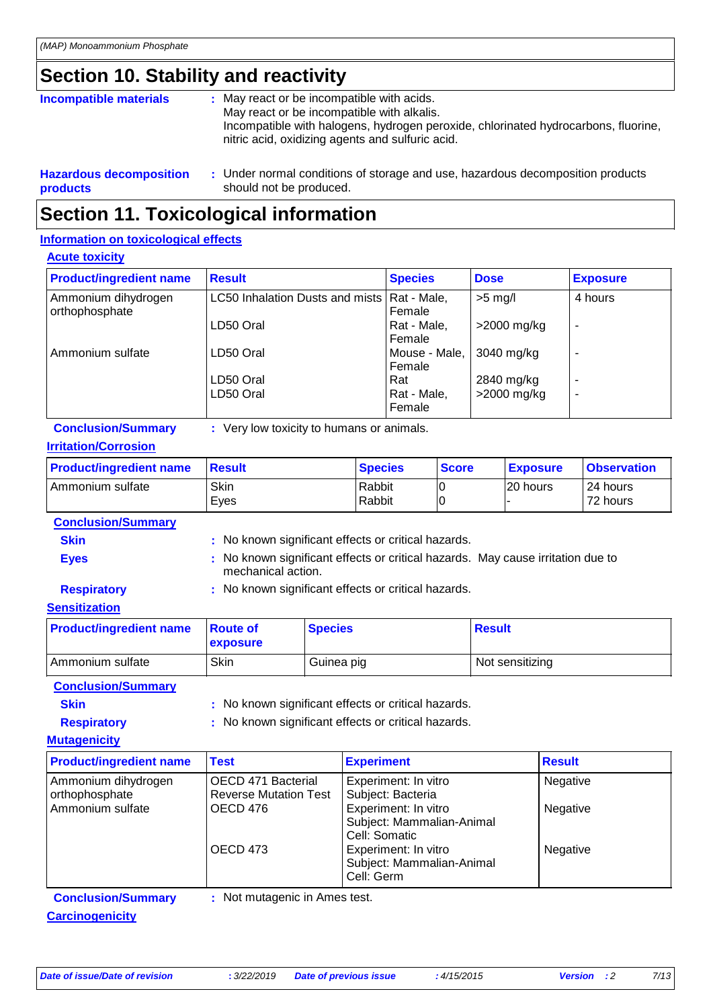# **Section 10. Stability and reactivity**

| Incompatible materials         | : May react or be incompatible with acids.<br>May react or be incompatible with alkalis.<br>Incompatible with halogens, hydrogen peroxide, chlorinated hydrocarbons, fluorine,<br>nitric acid, oxidizing agents and sulfuric acid. |
|--------------------------------|------------------------------------------------------------------------------------------------------------------------------------------------------------------------------------------------------------------------------------|
| <b>Hazardous decomposition</b> | : Under normal conditions of storage and use, hazardous decomposition products                                                                                                                                                     |

### **products** should not be produced. **Section 11. Toxicological information**

### **Information on toxicological effects**

#### **Acute toxicity**

| <b>Product/ingredient name</b>        | <b>Result</b>                           | <b>Species</b>          | <b>Dose</b>   | <b>Exposure</b> |
|---------------------------------------|-----------------------------------------|-------------------------|---------------|-----------------|
| Ammonium dihydrogen<br>orthophosphate | LC50 Inhalation Dusts and mists         | Rat - Male,<br>Female   | $>5$ mg/l     | 4 hours         |
|                                       | LD50 Oral                               | Rat - Male,<br>Female   | $>2000$ mg/kg | ۰               |
| Ammonium sulfate                      | LD50 Oral                               | Mouse - Male,<br>Female | 3040 mg/kg    | ۰               |
|                                       | LD50 Oral                               | Rat                     | 2840 mg/kg    | ۰               |
|                                       | LD50 Oral                               | Rat - Male,<br>Female   | >2000 mg/kg   | ۰               |
| <b>Conclusion/Summary</b>             | Very low toxicity to humans or animals. |                         |               |                 |

| <b>Conclusion/Summary</b> | : Ve |  |
|---------------------------|------|--|
|                           |      |  |

### **Irritation/Corrosion**

| <b>Product/ingredient name</b>    | <b>Result</b> | <b>Species</b>   | <b>Score</b> | <b>Exposure</b> | <b>Observation</b>   |
|-----------------------------------|---------------|------------------|--------------|-----------------|----------------------|
| Ammonium sulfate                  | Skin<br>Eves  | Rabbit<br>Rabbit |              | l20 hours       | 24 hours<br>72 hours |
| As a short surface in the company |               |                  |              |                 |                      |

| <b>Conclusion/Summary</b> |                                                                                                       |
|---------------------------|-------------------------------------------------------------------------------------------------------|
| <b>Skin</b>               | : No known significant effects or critical hazards.                                                   |
| <b>Eyes</b>               | : No known significant effects or critical hazards. May cause irritation due to<br>mechanical action. |
| <b>Respiratory</b>        | : No known significant effects or critical hazards.                                                   |

### **Sensitization**

| <b>Product/ingredient name</b> | <b>Boute</b> of<br><b>exposure</b> | <b>Species</b> | <b>Result</b>   |
|--------------------------------|------------------------------------|----------------|-----------------|
| l Ammonium sulfate             | Skin                               | Guinea pig     | Not sensitizing |

#### **Conclusion/Summary**

- **Skin** : No known significant effects or critical hazards.
- - **Respiratory :** No known significant effects or critical hazards.

#### **Mutagenicity**

| <b>Product/ingredient name</b>                              | <b>Test</b>                                        | <b>Experiment</b>                                                  | <b>Result</b> |
|-------------------------------------------------------------|----------------------------------------------------|--------------------------------------------------------------------|---------------|
| Ammonium dihydrogen<br>orthophosphate                       | OECD 471 Bacterial<br><b>Reverse Mutation Test</b> | Experiment: In vitro<br>Subject: Bacteria                          | Negative      |
| Ammonium sulfate                                            | OECD 476                                           | Experiment: In vitro<br>Subject: Mammalian-Animal<br>Cell: Somatic | Negative      |
|                                                             | OECD 473                                           | Experiment: In vitro<br>Subject: Mammalian-Animal<br>Cell: Germ    | Negative      |
| $\mathbf{A}$ and the state of $\mathbf{A}$ and $\mathbf{A}$ | Matinesste existe to American to at-               |                                                                    |               |

**Carcinogenicity**

**Conclusion/Summary :** Not mutagenic in Ames test.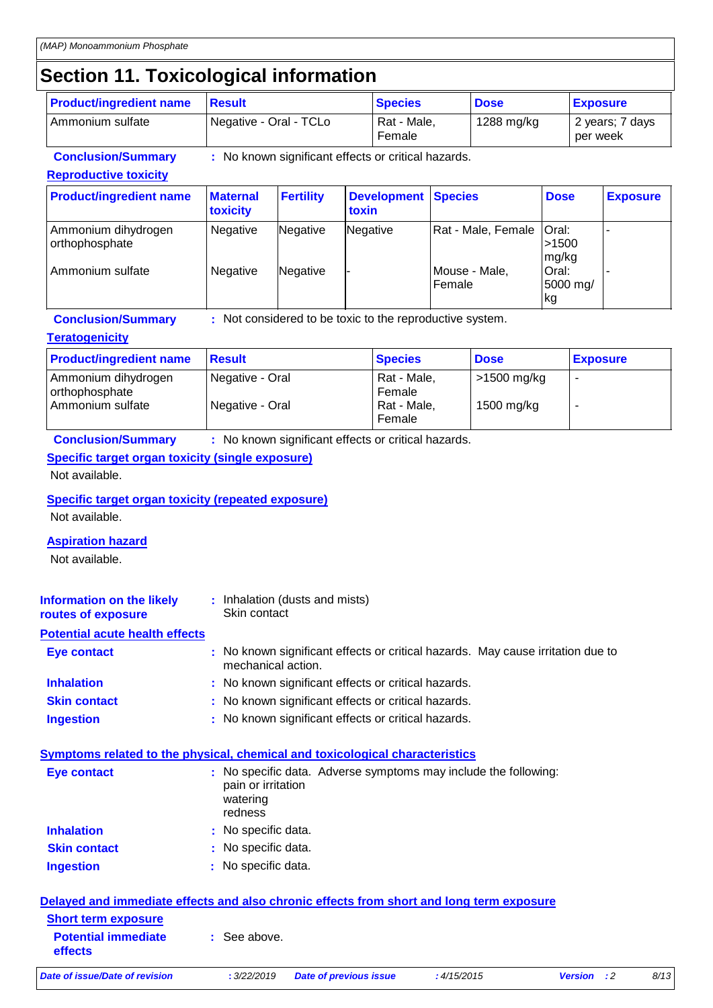# **Section 11. Toxicological information**

| <b>Product/ingredient name</b> | <u>I</u> Result        | <b>Species</b>        | <b>Dose</b> | <b>Exposure</b>             |
|--------------------------------|------------------------|-----------------------|-------------|-----------------------------|
| l Ammonium sulfate             | Negative - Oral - TCLo | Rat - Male,<br>Female | 1288 mg/kg  | 2 years: 7 days<br>per week |

**Conclusion/Summary :** No known significant effects or critical hazards.

### **Reproductive toxicity**

| <b>Product/ingredient name</b>        | <b>Maternal</b><br>toxicity | <b>Fertility</b> | <b>Development Species</b><br>toxin |                            | <b>Dose</b>              | <b>Exposure</b> |
|---------------------------------------|-----------------------------|------------------|-------------------------------------|----------------------------|--------------------------|-----------------|
| Ammonium dihydrogen<br>orthophosphate | Negative                    | Negative         | Negative                            | Rat - Male, Female   Oral: | >1500<br>mg/kg           |                 |
| Ammonium sulfate                      | Negative                    | Negative         |                                     | Mouse - Male,<br>Female    | Oral:<br>5000 mg/<br>lkg |                 |

**Conclusion/Summary :** Not considered to be toxic to the reproductive system.

### **Teratogenicity**

| <b>Product/ingredient name</b>        | <b>Result</b>   | <b>Species</b>        | <b>Dose</b> | <b>Exposure</b> |
|---------------------------------------|-----------------|-----------------------|-------------|-----------------|
| Ammonium dihydrogen<br>orthophosphate | Negative - Oral | Rat - Male,<br>Female | >1500 mg/kg |                 |
| Ammonium sulfate                      | Negative - Oral | Rat - Male,<br>Female | 1500 mg/kg  | -               |

**Conclusion/Summary :** No known significant effects or critical hazards.

### **Specific target organ toxicity (single exposure)**

Not available.

### **Specific target organ toxicity (repeated exposure)**

Not available.

### **Aspiration hazard**

Not available.

| Information on the likely<br>routes of exposure | : Inhalation (dusts and mists)<br>Skin contact |
|-------------------------------------------------|------------------------------------------------|
| <b>Potential acute health effects</b>           |                                                |
| Eye contact                                     | : No known significant effects of              |

| Eye contact         | : No known significant effects or critical hazards. May cause irritation due to<br>mechanical action. |
|---------------------|-------------------------------------------------------------------------------------------------------|
| <b>Inhalation</b>   | : No known significant effects or critical hazards.                                                   |
| <b>Skin contact</b> | : No known significant effects or critical hazards.                                                   |
| <b>Ingestion</b>    | : No known significant effects or critical hazards.                                                   |

### **Symptoms related to the physical, chemical and toxicological characteristics**

| Eye contact         | : No specific data. Adverse symptoms may include the following:<br>pain or irritation<br>watering<br>redness |
|---------------------|--------------------------------------------------------------------------------------------------------------|
| <b>Inhalation</b>   | : No specific data.                                                                                          |
| <b>Skin contact</b> | : No specific data.                                                                                          |
| <b>Ingestion</b>    | : No specific data.                                                                                          |

#### **Delayed and immediate effects and also chronic effects from short and long term exposure Short term exposure**

| <b>Short term exposure</b><br><b>Potential immediate</b><br><b>effects</b> | See above.  |                               |            |                    |      |
|----------------------------------------------------------------------------|-------------|-------------------------------|------------|--------------------|------|
| Date of issue/Date of revision                                             | : 3/22/2019 | <b>Date of previous issue</b> | :4/15/2015 | <b>Version</b> : 2 | 8/13 |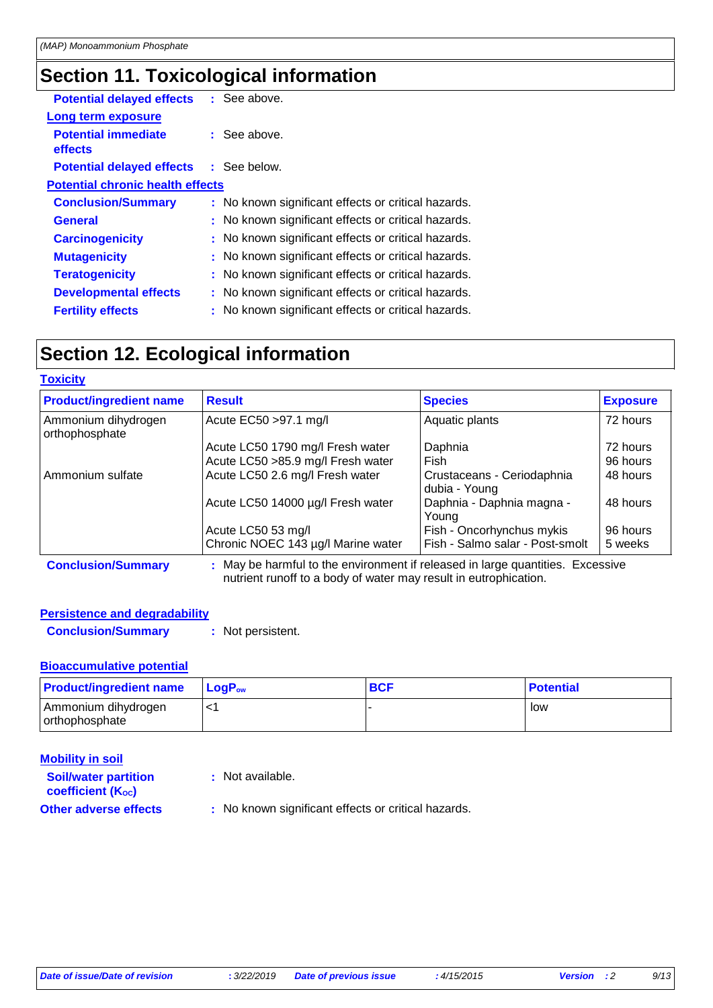# **Section 11. Toxicological information**

| <b>Potential delayed effects</b>        | : See above.                                        |
|-----------------------------------------|-----------------------------------------------------|
| <b>Long term exposure</b>               |                                                     |
| <b>Potential immediate</b><br>effects   | $\therefore$ See above.                             |
| <b>Potential delayed effects</b>        | : See below.                                        |
| <b>Potential chronic health effects</b> |                                                     |
| <b>Conclusion/Summary</b>               | : No known significant effects or critical hazards. |
| <b>General</b>                          | : No known significant effects or critical hazards. |
| <b>Carcinogenicity</b>                  | : No known significant effects or critical hazards. |
| <b>Mutagenicity</b>                     | : No known significant effects or critical hazards. |
| <b>Teratogenicity</b>                   | : No known significant effects or critical hazards. |
| <b>Developmental effects</b>            | : No known significant effects or critical hazards. |
| <b>Fertility effects</b>                | : No known significant effects or critical hazards. |
|                                         |                                                     |

# **Section 12. Ecological information**

**Toxicity**

| <b>Product/ingredient name</b>        | <b>Result</b>                                                                  | <b>Species</b>                              | <b>Exposure</b> |
|---------------------------------------|--------------------------------------------------------------------------------|---------------------------------------------|-----------------|
| Ammonium dihydrogen<br>orthophosphate | Acute EC50 > 97.1 mg/l                                                         | Aquatic plants                              | 72 hours        |
|                                       | Acute LC50 1790 mg/l Fresh water                                               | Daphnia                                     | 72 hours        |
|                                       | Acute LC50 > 85.9 mg/l Fresh water                                             | Fish                                        | 96 hours        |
| Ammonium sulfate                      | Acute LC50 2.6 mg/l Fresh water                                                | Crustaceans - Ceriodaphnia<br>dubia - Young | 48 hours        |
|                                       | Acute LC50 14000 µg/l Fresh water                                              | Daphnia - Daphnia magna -<br>Young          | 48 hours        |
|                                       | Acute LC50 53 mg/l                                                             | Fish - Oncorhynchus mykis                   | 96 hours        |
|                                       | Chronic NOEC 143 µg/l Marine water                                             | Fish - Salmo salar - Post-smolt             | 5 weeks         |
| <b>Conclusion/Summary</b>             | : May be harmful to the environment if released in large quantities. Excessive |                                             |                 |

**Conclusion/Summary :** May be harmful to the environment if released in large quantities. Excessive nutrient runoff to a body of water may result in eutrophication.

### **Persistence and degradability**

**Conclusion/Summary :** Not persistent.

### **Bioaccumulative potential**

| <b>Product/ingredient name</b>          | <b>LogP</b> <sub>ow</sub> | <b>BCF</b> | <b>Potential</b> |
|-----------------------------------------|---------------------------|------------|------------------|
| Ammonium dihydrogen<br>I orthophosphate | . ـ<br>↖                  |            | low              |

| <b>Mobility in soil</b>                                       |                                                     |
|---------------------------------------------------------------|-----------------------------------------------------|
| <b>Soil/water partition</b><br>coefficient (K <sub>oc</sub> ) | : Not available.                                    |
| <b>Other adverse effects</b>                                  | : No known significant effects or critical hazards. |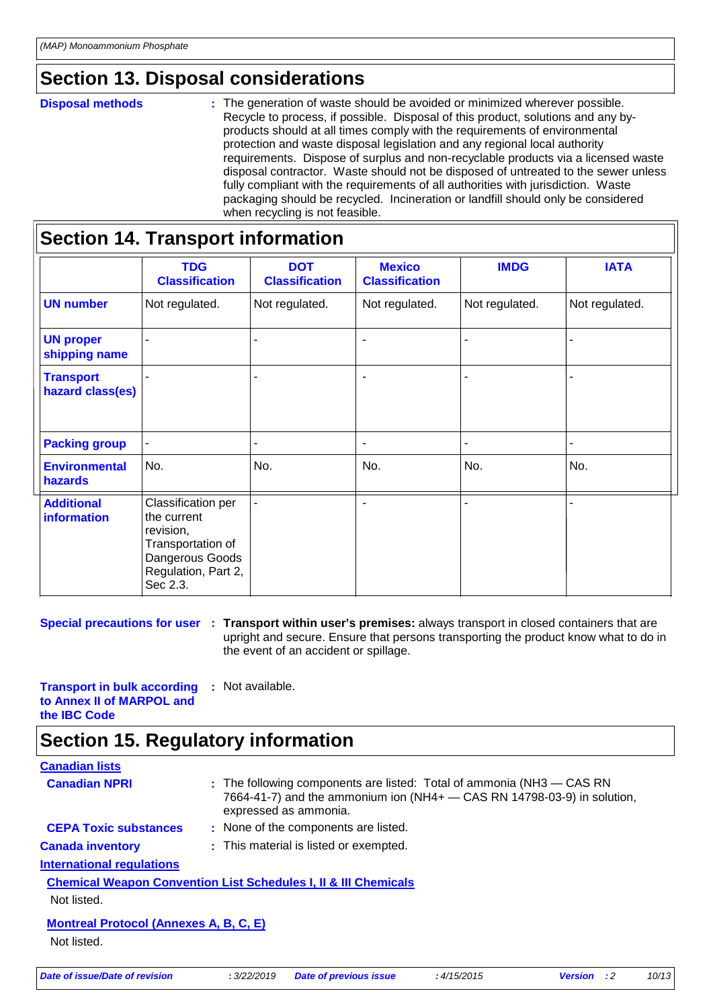# **Section 13. Disposal considerations**

#### **Disposal methods :**

The generation of waste should be avoided or minimized wherever possible. Recycle to process, if possible. Disposal of this product, solutions and any byproducts should at all times comply with the requirements of environmental protection and waste disposal legislation and any regional local authority requirements. Dispose of surplus and non-recyclable products via a licensed waste disposal contractor. Waste should not be disposed of untreated to the sewer unless fully compliant with the requirements of all authorities with jurisdiction. Waste packaging should be recycled. Incineration or landfill should only be considered when recycling is not feasible.

|                                         | <b>TDG</b><br><b>Classification</b>                                                                                       | <b>DOT</b><br><b>Classification</b> | <b>Mexico</b><br><b>Classification</b> | <b>IMDG</b>    | <b>IATA</b>    |
|-----------------------------------------|---------------------------------------------------------------------------------------------------------------------------|-------------------------------------|----------------------------------------|----------------|----------------|
| <b>UN number</b>                        | Not regulated.                                                                                                            | Not regulated.                      | Not regulated.                         | Not regulated. | Not regulated. |
| <b>UN proper</b><br>shipping name       |                                                                                                                           |                                     | $\blacksquare$                         |                |                |
| <b>Transport</b><br>hazard class(es)    |                                                                                                                           |                                     | $\blacksquare$                         |                |                |
| <b>Packing group</b>                    |                                                                                                                           |                                     | $\blacksquare$                         |                |                |
| <b>Environmental</b><br>hazards         | No.                                                                                                                       | No.                                 | No.                                    | No.            | No.            |
| <b>Additional</b><br><b>information</b> | Classification per<br>the current<br>revision,<br>Transportation of<br>Dangerous Goods<br>Regulation, Part 2,<br>Sec 2.3. |                                     |                                        |                |                |

**Special precautions for user** : Transport within user's premises: always transport in closed containers that are upright and secure. Ensure that persons transporting the product know what to do in the event of an accident or spillage.

**Transport in bulk according to Annex II of MARPOL and the IBC Code :** Not available.

### **Section 15. Regulatory information**

### **Canadian lists**

| <b>Canadian lists</b>                                                      |             |                                                                                                                                                                                  |            |                      |       |
|----------------------------------------------------------------------------|-------------|----------------------------------------------------------------------------------------------------------------------------------------------------------------------------------|------------|----------------------|-------|
| <b>Canadian NPRI</b>                                                       |             | $:$ The following components are listed: Total of ammonia (NH3 $-$ CAS RN<br>7664-41-7) and the ammonium ion ( $NH4+$ - CAS RN 14798-03-9) in solution,<br>expressed as ammonia. |            |                      |       |
| <b>CEPA Toxic substances</b>                                               |             | : None of the components are listed.                                                                                                                                             |            |                      |       |
| <b>Canada inventory</b>                                                    |             | : This material is listed or exempted.                                                                                                                                           |            |                      |       |
| <b>International regulations</b>                                           |             |                                                                                                                                                                                  |            |                      |       |
| <b>Chemical Weapon Convention List Schedules I, II &amp; III Chemicals</b> |             |                                                                                                                                                                                  |            |                      |       |
| Not listed.                                                                |             |                                                                                                                                                                                  |            |                      |       |
| <b>Montreal Protocol (Annexes A, B, C, E)</b>                              |             |                                                                                                                                                                                  |            |                      |       |
| Not listed.                                                                |             |                                                                                                                                                                                  |            |                      |       |
| Date of issue/Date of revision                                             | : 3/22/2019 | <b>Date of previous issue</b>                                                                                                                                                    | :4/15/2015 | :2<br><b>Version</b> | 10/13 |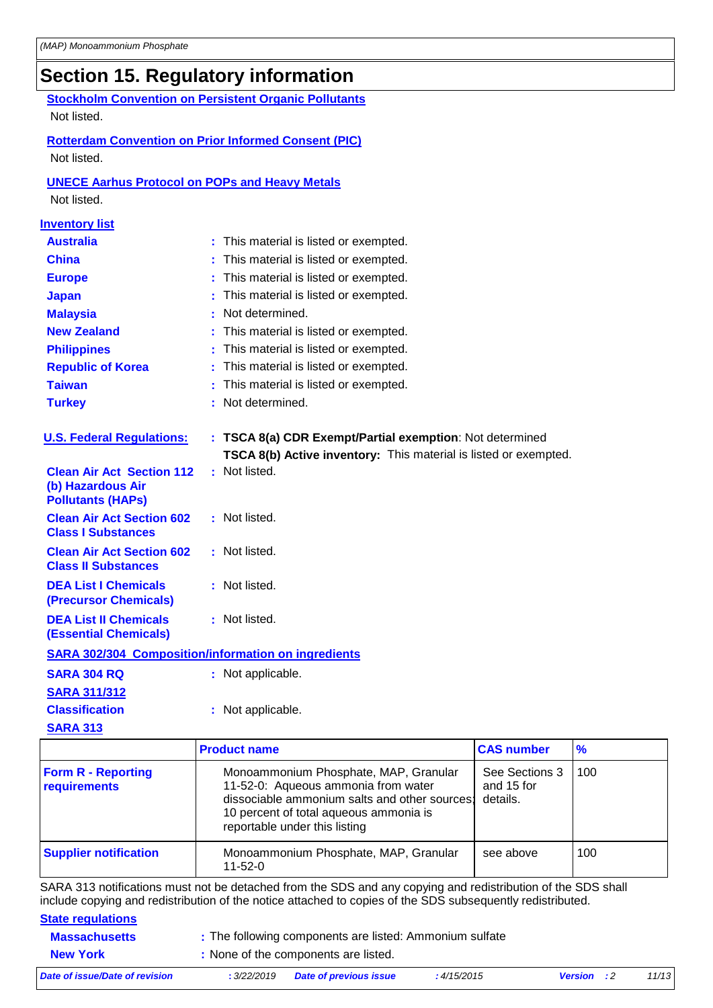# **Section 15. Regulatory information**

**Stockholm Convention on Persistent Organic Pollutants** Not listed.

**Rotterdam Convention on Prior Informed Consent (PIC)** Not listed.

### **UNECE Aarhus Protocol on POPs and Heavy Metals**

Not listed.

| <b>Inventory list</b>                                                             |   |                                                                  |
|-----------------------------------------------------------------------------------|---|------------------------------------------------------------------|
| <b>Australia</b>                                                                  | t | This material is listed or exempted.                             |
| <b>China</b>                                                                      |   | This material is listed or exempted.                             |
| <b>Europe</b>                                                                     |   | This material is listed or exempted.                             |
| <b>Japan</b>                                                                      |   | This material is listed or exempted.                             |
| <b>Malaysia</b>                                                                   |   | Not determined.                                                  |
| <b>New Zealand</b>                                                                |   | This material is listed or exempted.                             |
| <b>Philippines</b>                                                                |   | This material is listed or exempted.                             |
| <b>Republic of Korea</b>                                                          |   | This material is listed or exempted.                             |
| <b>Taiwan</b>                                                                     |   | This material is listed or exempted.                             |
| <b>Turkey</b>                                                                     |   | Not determined.                                                  |
|                                                                                   |   |                                                                  |
| <b>U.S. Federal Regulations:</b>                                                  |   | : TSCA 8(a) CDR Exempt/Partial exemption: Not determined         |
|                                                                                   |   | TSCA 8(b) Active inventory: This material is listed or exempted. |
| <b>Clean Air Act Section 112</b><br>(b) Hazardous Air<br><b>Pollutants (HAPs)</b> |   | : Not listed.                                                    |
| <b>Clean Air Act Section 602</b><br><b>Class I Substances</b>                     |   | : Not listed.                                                    |
| <b>Clean Air Act Section 602</b><br><b>Class II Substances</b>                    |   | : Not listed.                                                    |
| <b>DEA List I Chemicals</b><br><b>(Precursor Chemicals)</b>                       |   | : Not listed.                                                    |
| <b>DEA List II Chemicals</b><br><b>(Essential Chemicals)</b>                      |   | : Not listed.                                                    |
| <b>SARA 302/304 Composition/information on ingredients</b>                        |   |                                                                  |
| <b>SARA 304 RQ</b>                                                                |   | : Not applicable.                                                |
| <b>SARA 311/312</b>                                                               |   |                                                                  |
| <b>Classification</b>                                                             |   | : Not applicable.                                                |
| <b>SARA 313</b>                                                                   |   |                                                                  |

|                                           | <b>Product name</b>                                                                                                                                                                                      | <b>CAS number</b>                        | $\frac{9}{6}$ |
|-------------------------------------------|----------------------------------------------------------------------------------------------------------------------------------------------------------------------------------------------------------|------------------------------------------|---------------|
| <b>Form R - Reporting</b><br>requirements | Monoammonium Phosphate, MAP, Granular<br>11-52-0: Aqueous ammonia from water<br>dissociable ammonium salts and other sources:<br>10 percent of total aqueous ammonia is<br>reportable under this listing | See Sections 3<br>and 15 for<br>details. | 100           |
| <b>Supplier notification</b>              | Monoammonium Phosphate, MAP, Granular<br>$11 - 52 - 0$                                                                                                                                                   | see above                                | 100           |

SARA 313 notifications must not be detached from the SDS and any copying and redistribution of the SDS shall include copying and redistribution of the notice attached to copies of the SDS subsequently redistributed.

# **State regulations**

| <b>Massachusetts</b>           | : The following components are listed: Ammonium sulfate |                               |             |                    |       |  |
|--------------------------------|---------------------------------------------------------|-------------------------------|-------------|--------------------|-------|--|
| <b>New York</b>                | : None of the components are listed.                    |                               |             |                    |       |  |
| Date of issue/Date of revision | : 3/22/2019                                             | <b>Date of previous issue</b> | : 4/15/2015 | <b>Version</b> : 2 | 11/13 |  |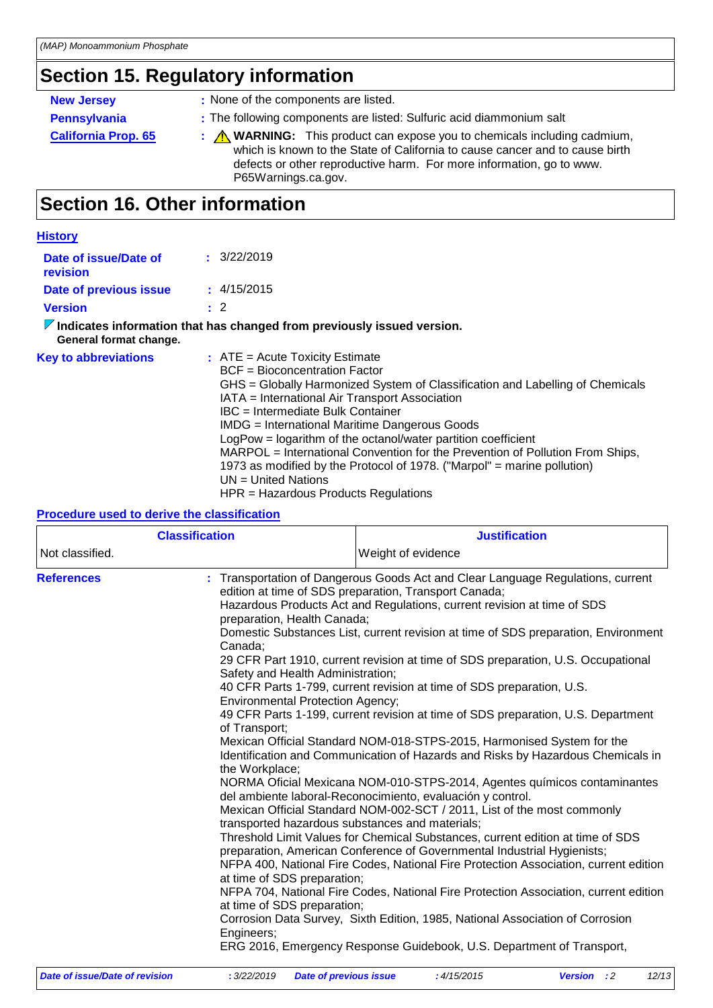# **Section 15. Regulatory information**

| <b>New Jersey</b>          | : None of the components are listed.                                                                                                                                                                                                                                      |  |
|----------------------------|---------------------------------------------------------------------------------------------------------------------------------------------------------------------------------------------------------------------------------------------------------------------------|--|
| <b>Pennsylvania</b>        | : The following components are listed: Sulfuric acid diammonium salt                                                                                                                                                                                                      |  |
| <b>California Prop. 65</b> | $\therefore$ <b>M</b> WARNING: This product can expose you to chemicals including cadmium,<br>which is known to the State of California to cause cancer and to cause birth<br>defects or other reproductive harm. For more information, go to www.<br>P65Warnings.ca.gov. |  |

# **Section 16. Other information**

| <b>History</b>                    |                                                                                                                                                                                                                                                                                                                                                                                                                                                                                                                                                                                           |
|-----------------------------------|-------------------------------------------------------------------------------------------------------------------------------------------------------------------------------------------------------------------------------------------------------------------------------------------------------------------------------------------------------------------------------------------------------------------------------------------------------------------------------------------------------------------------------------------------------------------------------------------|
| Date of issue/Date of<br>revision | $\pm$ 3/22/2019                                                                                                                                                                                                                                                                                                                                                                                                                                                                                                                                                                           |
| Date of previous issue            | $\pm$ 4/15/2015                                                                                                                                                                                                                                                                                                                                                                                                                                                                                                                                                                           |
| <b>Version</b>                    | $\cdot$ 2                                                                                                                                                                                                                                                                                                                                                                                                                                                                                                                                                                                 |
| General format change.            | $\triangledown$ Indicates information that has changed from previously issued version.                                                                                                                                                                                                                                                                                                                                                                                                                                                                                                    |
| <b>Key to abbreviations</b>       | $:$ ATE = Acute Toxicity Estimate<br>BCF = Bioconcentration Factor<br>GHS = Globally Harmonized System of Classification and Labelling of Chemicals<br>IATA = International Air Transport Association<br>IBC = Intermediate Bulk Container<br>IMDG = International Maritime Dangerous Goods<br>LogPow = logarithm of the octanol/water partition coefficient<br>MARPOL = International Convention for the Prevention of Pollution From Ships,<br>1973 as modified by the Protocol of 1978. ("Marpol" = marine pollution)<br>$UN = United Nations$<br>HPR = Hazardous Products Regulations |

#### **Procedure used to derive the classification**

| <b>Classification</b> |                                                                                                                                                                                                                                                                                          | <b>Justification</b>                                                                                                                                                                                                                                                                                                                                                                                                                                                                                                                                                                                                                                                                                                                                                                                                                                                                                                                                                                                                                                                                                                                                                                                                                                                                                                                                                                                                                                |  |  |
|-----------------------|------------------------------------------------------------------------------------------------------------------------------------------------------------------------------------------------------------------------------------------------------------------------------------------|-----------------------------------------------------------------------------------------------------------------------------------------------------------------------------------------------------------------------------------------------------------------------------------------------------------------------------------------------------------------------------------------------------------------------------------------------------------------------------------------------------------------------------------------------------------------------------------------------------------------------------------------------------------------------------------------------------------------------------------------------------------------------------------------------------------------------------------------------------------------------------------------------------------------------------------------------------------------------------------------------------------------------------------------------------------------------------------------------------------------------------------------------------------------------------------------------------------------------------------------------------------------------------------------------------------------------------------------------------------------------------------------------------------------------------------------------------|--|--|
| Not classified.       |                                                                                                                                                                                                                                                                                          | Weight of evidence                                                                                                                                                                                                                                                                                                                                                                                                                                                                                                                                                                                                                                                                                                                                                                                                                                                                                                                                                                                                                                                                                                                                                                                                                                                                                                                                                                                                                                  |  |  |
| <b>References</b>     | preparation, Health Canada;<br>Canada;<br>Safety and Health Administration;<br><b>Environmental Protection Agency;</b><br>of Transport;<br>the Workplace;<br>transported hazardous substances and materials;<br>at time of SDS preparation;<br>at time of SDS preparation;<br>Engineers; | : Transportation of Dangerous Goods Act and Clear Language Regulations, current<br>edition at time of SDS preparation, Transport Canada;<br>Hazardous Products Act and Regulations, current revision at time of SDS<br>Domestic Substances List, current revision at time of SDS preparation, Environment<br>29 CFR Part 1910, current revision at time of SDS preparation, U.S. Occupational<br>40 CFR Parts 1-799, current revision at time of SDS preparation, U.S.<br>49 CFR Parts 1-199, current revision at time of SDS preparation, U.S. Department<br>Mexican Official Standard NOM-018-STPS-2015, Harmonised System for the<br>Identification and Communication of Hazards and Risks by Hazardous Chemicals in<br>NORMA Oficial Mexicana NOM-010-STPS-2014, Agentes químicos contaminantes<br>del ambiente laboral-Reconocimiento, evaluación y control.<br>Mexican Official Standard NOM-002-SCT / 2011, List of the most commonly<br>Threshold Limit Values for Chemical Substances, current edition at time of SDS<br>preparation, American Conference of Governmental Industrial Hygienists;<br>NFPA 400, National Fire Codes, National Fire Protection Association, current edition<br>NFPA 704, National Fire Codes, National Fire Protection Association, current edition<br>Corrosion Data Survey, Sixth Edition, 1985, National Association of Corrosion<br>ERG 2016, Emergency Response Guidebook, U.S. Department of Transport, |  |  |

| Date of issue/Date of revision | : 3/22/2019 Date of previous issue | : 4/15/2015 | <b>Version</b> : 2 | 12/13 |
|--------------------------------|------------------------------------|-------------|--------------------|-------|
|                                |                                    |             |                    |       |